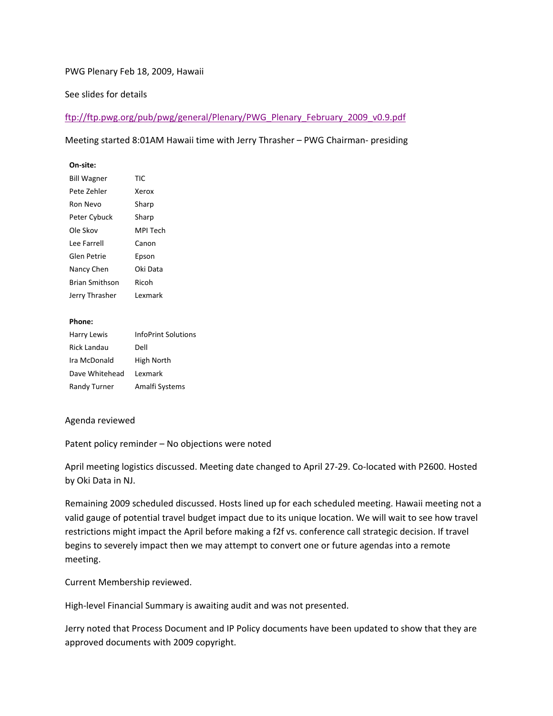# PWG Plenary Feb 18, 2009, Hawaii

# See slides for details

# ftp://ftp.pwg.org/pub/pwg/general/Plenary/PWG\_Plenary\_February\_2009\_v0.9.pdf

## Meeting started 8:01AM Hawaii time with Jerry Thrasher – PWG Chairman- presiding

### **On-site:**

| <b>Bill Wagner</b>    | TIC      |
|-----------------------|----------|
| Pete Zehler           | Xerox    |
| Ron Nevo              | Sharp    |
| Peter Cybuck          | Sharp    |
| Ole Skov              | MPI Tech |
| Lee Farrell           | Canon    |
| Glen Petrie           | Epson    |
| Nancy Chen            | Oki Data |
| <b>Brian Smithson</b> | Ricoh    |
| Jerry Thrasher        | l exmark |
|                       |          |

#### **Phone:**

| Harry Lewis         | <b>InfoPrint Solutions</b> |
|---------------------|----------------------------|
| Rick Landau         | Dell                       |
| Ira McDonald        | High North                 |
| Dave Whitehead      | Lexmark                    |
| <b>Randy Turner</b> | Amalfi Systems             |

### Agenda reviewed

Patent policy reminder – No objections were noted

April meeting logistics discussed. Meeting date changed to April 27-29. Co-located with P2600. Hosted by Oki Data in NJ.

Remaining 2009 scheduled discussed. Hosts lined up for each scheduled meeting. Hawaii meeting not a valid gauge of potential travel budget impact due to its unique location. We will wait to see how travel restrictions might impact the April before making a f2f vs. conference call strategic decision. If travel begins to severely impact then we may attempt to convert one or future agendas into a remote meeting.

Current Membership reviewed.

High-level Financial Summary is awaiting audit and was not presented.

Jerry noted that Process Document and IP Policy documents have been updated to show that they are approved documents with 2009 copyright.